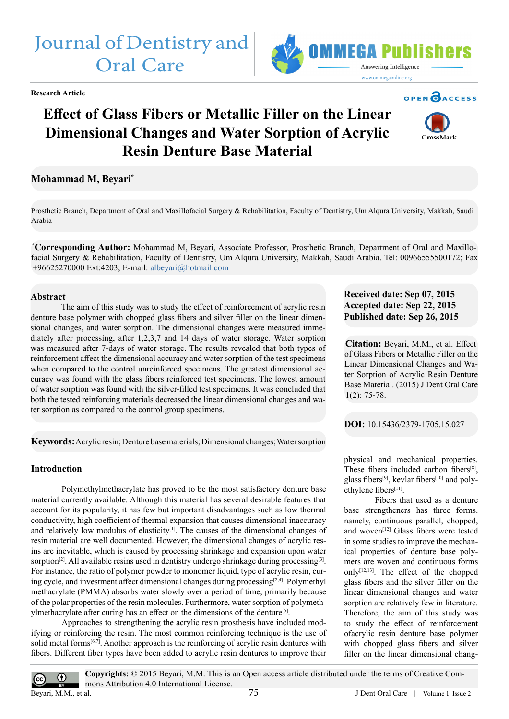# Journal of Dentistry and Oral Care



# **Effect of Glass Fibers or Metallic Filler on the Linear Dimensional Changes and Water Sorption of Acrylic Resin Denture Base Material**

# **Mohammad M, Beyari\***

Prosthetic Branch, Department of Oral and Maxillofacial Surgery & Rehabilitation, Faculty of Dentistry, Um Alqura University, Makkah, Saudi Arabia

**\* Corresponding Author:** Mohammad M, Beyari, Associate Professor, Prosthetic Branch, Department of Oral and Maxillofacial Surgery & Rehabilitation, Faculty of Dentistry, Um Alqura University, Makkah, Saudi Arabia. Tel: 00966555500172; Fax +96625270000 Ext:4203; E-mail: albeyari@hotmail.com

# **Abstract**

 The aim of this study was to study the effect of reinforcement of acrylic resin denture base polymer with chopped glass fibers and silver filler on the linear dimensional changes, and water sorption. The dimensional changes were measured immediately after processing, after 1,2,3,7 and 14 days of water storage. Water sorption was measured after 7-days of water storage. The results revealed that both types of reinforcement affect the dimensional accuracy and water sorption of the test specimens when compared to the control unreinforced specimens. The greatest dimensional accuracy was found with the glass fibers reinforced test specimens. The lowest amount of water sorption was found with the silver-filled test specimens. It was concluded that both the tested reinforcing materials decreased the linear dimensional changes and water sorption as compared to the control group specimens.

**Keywords:** Acrylic resin; Denture base materials; Dimensional changes; Water sorption

# **Introduction**

Polymethylmethacrylate has proved to be the most satisfactory denture base material currently available. Although this material has several desirable features that account for its popularity, it has few but important disadvantages such as low thermal conductivity, high coefficient of thermal expansion that causes dimensional inaccuracy and relatively low modulus of elasticity<sup>[1]</sup>. The causes of the dimensional changes of resin material are well documented. However, the dimensional changes of acrylic resins are inevitable, which is caused by processing shrinkage and expansion upon water sorption<sup>[2]</sup>. All available resins used in dentistry undergo shrinkage during processing<sup>[3]</sup>. For instance, the ratio of polymer powder to monomer liquid, type of acrylic resin, curing cycle, and investment affect dimensional changes during processing[\[2,4\].](#page-2-1) Polymethyl methacrylate (PMMA) absorbs water slowly over a period of time, primarily because of the polar properties of the resin molecules. Furthermore, water sorption of polymeth-ylmethacrylate after curing has an effect on the dimensions of the denture<sup>[\[5\]](#page-2-3)</sup>.

Approaches to strengthening the acrylic resin prosthesis have included modifying or reinforcing the resin. The most common reinforcing technique is the use of solid metal forms $[6,7]$ . Another approach is the reinforcing of acrylic resin dentures with fibers. Different fiber types have been added to acrylic resin dentures to improve their

# **Received date: Sep 07, 2015 Accepted date: Sep 22, 2015 Published date: Sep 26, 2015**

**Citation:** Beyari, M.M., et al. Effect of Glass Fibers or Metallic Filler on the Linear Dimensional Changes and Water Sorption of Acrylic Resin Denture Base Material. (2015) J Dent Oral Care 1(2): 75-78.

**DOI:** [10.15436/2379-1705.15.027](http://www.dx.doi.org/10.15436/2379-1705.15.027)

physical and mechanical properties. These fibers included carbon fibers[\[8\],](#page-2-5) glass fibers<sup>[\[9\]](#page-2-6)</sup>, kevlar fibers<sup>[10]</sup> and polyethylene fibers<sup>[11]</sup>.

Fibers that used as a denture base strengtheners has three forms. namely, continuous parallel, chopped, and woven<sup>[12]</sup> Glass fibers were tested in some studies to improve the mechanical properties of denture base polymers are woven and continuous forms only $[12,13]$ . The effect of the chopped glass fibers and the silver filler on the linear dimensional changes and water sorption are relatively few in literature. Therefore, the aim of this study was to study the effect of reinforcement ofacrylic resin denture base polymer with chopped glass fibers and silver filler on the linear dimensional chang-



**OPEN CACCESS** 





**Copyrights:** © 2015 Beyari, M.M. This is an Open access article distributed under the terms of Creative Com- $\odot$ mons Attribution 4.0 International License. Beyari, M.M., et al. 75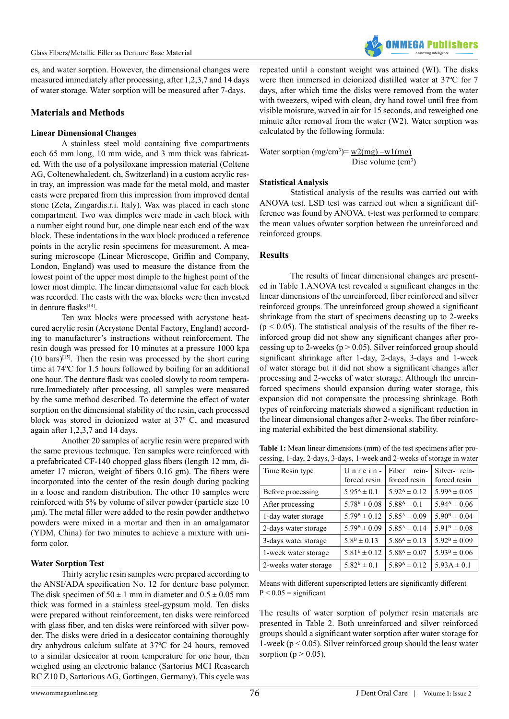es, and water sorption. However, the dimensional changes were measured immediately after processing, after 1,2,3,7 and 14 days of water storage. Water sorption will be measured after 7-days.

#### **Materials and Methods**

#### **Linear Dimensional Changes**

 A stainless steel mold containing five compartments each 65 mm long, 10 mm wide, and 3 mm thick was fabricated. With the use of a polysiloxane impression material (Coltene AG, Coltenewhaledent. ch, Switzerland) in a custom acrylic resin tray, an impression was made for the metal mold, and master casts were prepared from this impression from improved dental stone (Zeta, Zingardis.r.i. Italy). Wax was placed in each stone compartment. Two wax dimples were made in each block with a number eight round bur, one dimple near each end of the wax block. These indentations in the wax block produced a reference points in the acrylic resin specimens for measurement. A measuring microscope (Linear Microscope, Griffin and Company, London, England) was used to measure the distance from the lowest point of the upper most dimple to the highest point of the lower most dimple. The linear dimensional value for each block was recorded. The casts with the wax blocks were then invested in denture flasks<sup>[\[14\]](#page-3-0)</sup>.

Ten wax blocks were processed with acrystone heatcured acrylic resin (Acrystone Dental Factory, England) according to manufacturer's instructions without reinforcement. The resin dough was pressed for 10 minutes at a pressure 1000 kpa  $(10 \text{ bars})^{[15]}$ . Then the resin was processed by the short curing time at 74ºC for 1.5 hours followed by boiling for an additional one hour. The denture flask was cooled slowly to room temperature.Immediately after processing, all samples were measured by the same method described. To determine the effect of water sorption on the dimensional stability of the resin, each processed block was stored in deionized water at 37º C, and measured again after 1,2,3,7 and 14 days.

Another 20 samples of acrylic resin were prepared with the same previous technique. Ten samples were reinforced with a prefabricated CF-140 chopped glass fibers (length 12 mm, diameter 17 micron, weight of fibers 0.16 gm). The fibers were incorporated into the center of the resin dough during packing in a loose and random distribution. The other 10 samples were reinforced with 5% by volume of silver powder (particle size 10 um). The metal filler were added to the resin powder andthetwo powders were mixed in a mortar and then in an amalgamator (YDM, China) for two minutes to achieve a mixture with uniform color.

#### **Water Sorption Test**

Thirty acrylic resin samples were prepared according to the ANSI/ADA specification No. 12 for denture base polymer. The disk specimen of  $50 \pm 1$  mm in diameter and  $0.5 \pm 0.05$  mm thick was formed in a stainless steel-gypsum mold. Ten disks were prepared without reinforcement, ten disks were reinforced with glass fiber, and ten disks were reinforced with silver powder. The disks were dried in a desiccator containing thoroughly dry anhydrous calcium sulfate at 37ºC for 24 hours, removed to a similar desiccator at room temperature for one hour, then weighed using an electronic balance (Sartorius MCI Reasearch RC Z10 D, Sartorious AG, Gottingen, Germany). This cycle was

repeated until a constant weight was attained (WI). The disks were then immersed in deionized distilled water at 37ºC for 7 days, after which time the disks were removed from the water with tweezers, wiped with clean, dry hand towel until free from visible moisture, waved in air for 15 seconds, and reweighed one minute after removal from the water (W2). Water sorption was calculated by the following formula:

Water sorption  $(mg/cm^3) = w2(mg) - w1(mg)$ Disc volume (cm<sup>3</sup>)

#### **Statistical Analysis**

Statistical analysis of the results was carried out with ANOVA test. LSD test was carried out when a significant difference was found by ANOVA. t-test was performed to compare the mean values ofwater sorption between the unreinforced and reinforced groups.

#### **Results**

The results of linear dimensional changes are presented in Table 1.ANOVA test revealed a significant changes in the linear dimensions of the unreinforced, fiber reinforced and silver reinforced groups. The unreinforced group showed a significant shrinkage from the start of specimens decasting up to 2-weeks  $(p < 0.05)$ . The statistical analysis of the results of the fiber reinforced group did not show any significant changes after processing up to 2-weeks ( $p > 0.05$ ). Silver reinforced group should significant shrinkage after 1-day, 2-days, 3-days and 1-week of water storage but it did not show a significant changes after processing and 2-weeks of water storage. Although the unreinforced specimens should expansion during water storage, this expansion did not compensate the processing shrinkage. Both types of reinforcing materials showed a significant reduction in the linear dimensional changes after 2-weeks. The fiber reinforcing material exhibited the best dimensional stability.

**Table 1:** Mean linear dimensions (mm) of the test specimens after processing, 1-day, 2-days, 3-days, 1-week and 2-weeks of storage in water

| Time Resin type       | $Unrein-$<br>forced resin | rein-<br>Fiber<br>forced resin | Silver-rein-<br>forced resin |
|-----------------------|---------------------------|--------------------------------|------------------------------|
| Before processing     | $5.95^{\text{A}} \pm 0.1$ | $5.92^{\text{A}} \pm 0.12$     | $5.99^{\text{A}} \pm 0.05$   |
| After processing      | $5.78^{\rm B} \pm 0.08$   | $5.88^{\rm A} \pm 0.1$         | $5.94^{\text{A}} \pm 0.06$   |
| 1-day water storage   | $5.79^{\rm B} \pm 0.12$   | $5.85^{\text{A}} \pm 0.09$     | $5.90^{\rm B} \pm 0.04$      |
| 2-days water storage  | $5.79^{\rm B} \pm 0.09$   | $5.85^{\text{A}} \pm 0.14$     | $5.91^{\rm B} \pm 0.08$      |
| 3-days water storage  | $5.8^{\rm B} \pm 0.13$    | $5.86^{\rm A} \pm 0.13$        | $5.92^{\rm B} \pm 0.09$      |
| 1-week water storage  | $5.81^{\rm B} \pm 0.12$   | $5.88^{\text{A}} \pm 0.07$     | $5.93^{\rm B} \pm 0.06$      |
| 2-weeks water storage | $5.82^{\rm B} \pm 0.1$    | $5.89^{\rm A} \pm 0.12$        | $5.93A \pm 0.1$              |

Means with different superscripted letters are significantly different  $P < 0.05 =$  significant

The results of water sorption of polymer resin materials are presented in Table 2. Both unreinforced and silver reinforced groups should a significant water sorption after water storage for 1-week ( $p < 0.05$ ). Silver reinforced group should the least water sorption ( $p > 0.05$ ).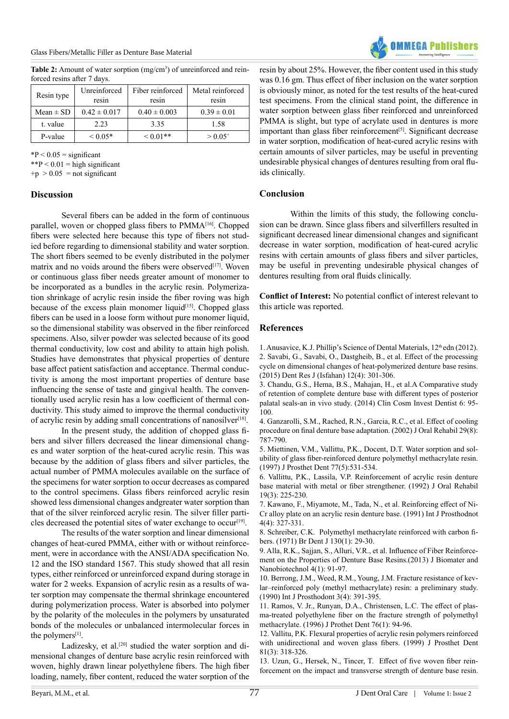

Table 2: Amount of water sorption (mg/cm<sup>3</sup>) of unreinforced and reinforced resins after 7 days.

| Resin type    | Unreinforced<br>resin | Fiber reinforced<br>resin | Metal reinforced<br>resin |
|---------------|-----------------------|---------------------------|---------------------------|
| $Mean \pm SD$ | $0.42 \pm 0.017$      | $0.40 \pm 0.003$          | $0.39 \pm 0.01$           |
| t. value      | 2.23                  | 3.35                      | 1.58                      |
| P-value       | ${}< 0.05*$           | $0.01**$                  | $> 0.05$ <sup>+</sup>     |

 $*P < 0.05$  = significant

 $*$ P < 0.01 = high significant

 $+p > 0.05$  = not significant

#### **Discussion**

 Several fibers can be added in the form of continuous parallel, woven or chopped glass fibers to PMMA<sup>[16]</sup>. Chopped fibers were selected here because this type of fibers not studied before regarding to dimensional stability and water sorption. The short fibers seemed to be evenly distributed in the polymer matrix and no voids around the fibers were observed<sup>[\[17\]](#page-3-3)</sup>. Woven or continuous glass fiber needs greater amount of monomer to be incorporated as a bundles in the acrylic resin. Polymerization shrinkage of acrylic resin inside the fiber roving was high because of the excess plain monomer liquid $[15]$ . Chopped glass fibers can be used in a loose form without pure monomer liquid, so the dimensional stability was observed in the fiber reinforced specimens. Also, silver powder was selected because of its good thermal conductivity, low cost and ability to attain high polish. Studies have demonstrates that physical properties of denture base affect patient satisfaction and acceptance. Thermal conductivity is among the most important properties of denture base influencing the sense of taste and gingival health. The conventionally used acrylic resin has a low coefficient of thermal conductivity. This study aimed to improve the thermal conductivity of acrylic resin by adding small concentrations of nanosilver<sup>[18]</sup>.

 In the present study, the addition of chopped glass fibers and silver fillers decreased the linear dimensional changes and water sorption of the heat-cured acrylic resin. This was because by the addition of glass fibers and silver particles, the actual number of PMMA molecules available on the surface of the specimens for water sorption to occur decreases as compared to the control specimens. Glass fibers reinforced acrylic resin showed less dimensional changes andgreater water sorption than that of the silver reinforced acrylic resin. The silver filler parti-cles decreased the potential sites of water exchange to occur<sup>[\[19\]](#page-3-4)</sup>.

The results of the water sorption and linear dimensional changes of heat-cured PMMA, either with or without reinforcement, were in accordance with the ANSI/ADA specification No. 12 and the ISO standard 1567. This study showed that all resin types, either reinforced or unreinforced expand during storage in water for 2 weeks. Expansion of acrylic resin as a results of water sorption may compensate the thermal shrinkage encountered during polymerization process. Water is absorbed into polymer by the polarity of the molecules in the polymers by unsaturated bonds of the molecules or unbalanced intermolecular forces in the polymers<sup>[1]</sup>.

Ladizesky, et al.<sup>[20]</sup> studied the water sorption and dimensional changes of denture base acrylic resin reinforced with woven, highly drawn linear polyethylene fibers. The high fiber loading, namely, fiber content, reduced the water sorption of the

resin by about 25%. However, the fiber content used in this study was 0.16 gm. Thus effect of fiber inclusion on the water sorption is obviously minor, as noted for the test results of the heat-cured test specimens. From the clinical stand point, the difference in water sorption between glass fiber reinforced and unreinforced PMMA is slight, but type of acrylate used in dentures is more important than glass fiber reinforcement<sup>[\[5\]](#page-2-3)</sup>. Significant decrease in water sorption, modification of heat-cured acrylic resins with certain amounts of silver particles, may be useful in preventing undesirable physical changes of dentures resulting from oral fluids clinically.

# **Conclusion**

Within the limits of this study, the following conclusion can be drawn. Since glass fibers and silverfillers resulted in significant decreased linear dimensional changes and significant decrease in water sorption, modification of heat-cured acrylic resins with certain amounts of glass fibers and silver particles, may be useful in preventing undesirable physical changes of dentures resulting from oral fluids clinically.

**Conflict of Interest:** No potential conflict of interest relevant to this article was reported.

# **References**

<span id="page-2-1"></span><span id="page-2-0"></span>1. Anusavice, K.J. Phillip's Science of Dental Materials,  $12<sup>th</sup>$ edn (2012). 2. Savabi, G., Savabi, O., [Dastgheib,](http://www.ncbi.nlm.nih.gov/pmc/articles/PMC4533186/) B., et al. Effect of the processing [cycle on dimensional changes of heat-polymerized denture base resins.](http://www.ncbi.nlm.nih.gov/pmc/articles/PMC4533186/) (2015) Dent Res J [\(Isfahan\)](http://www.ncbi.nlm.nih.gov/pmc/articles/PMC4533186/) 12(4): 301-306.

<span id="page-2-2"></span>[3. Chandu, G.S., Hema, B.S., Mahajan, H., et al.A Comparative study](http://www.ncbi.nlm.nih.gov/pmc/articles/PMC4251571/) of retention of [complete](http://www.ncbi.nlm.nih.gov/pmc/articles/PMC4251571/) denture base with different types of posterior palatal [seals-an](http://www.ncbi.nlm.nih.gov/pmc/articles/PMC4251571/) in vivo study. (2014) Clin Cosm Invest Dentist 6: 95- [100.](http://www.ncbi.nlm.nih.gov/pmc/articles/PMC4251571/)

4. [Ganzarolli,](http://www.ncbi.nlm.nih.gov/pubmed/12220348) S.M., Rached, R.N., Garcia, R.C., et al. Effect of cooling procedure on final denture base [adaptation.](http://www.ncbi.nlm.nih.gov/pubmed/12220348) (2002) J Oral Rehabil 29(8): [787-790.](http://www.ncbi.nlm.nih.gov/pubmed/12220348)

<span id="page-2-3"></span>[5. Miettinen, V.M., Vallittu, P.K., Docent, D.T. Water sorption and sol](http://www.ncbi.nlm.nih.gov/pubmed/9151274)ubility of glass [fiber-reinforced](http://www.ncbi.nlm.nih.gov/pubmed/9151274) denture polymethyl methacrylate resin. [\(1997\) J Prosthet Dent 77\(5\):531-534.](http://www.ncbi.nlm.nih.gov/pubmed/9151274)

<span id="page-2-4"></span>[6. Vallittu, P.K., Lassila, V.P. Reinforcement of acrylic resin denture](http://www.ncbi.nlm.nih.gov/pubmed/1500965) base material with metal or fiber [strengthener.](http://www.ncbi.nlm.nih.gov/pubmed/1500965) (1992) J Oral Rehabil [19\(3\): 225-230.](http://www.ncbi.nlm.nih.gov/pubmed/1500965)

7. Kawano, F., Miyamote, M., Tada, N., et al. [Reinforcing](http://www.ncbi.nlm.nih.gov/pubmed/1811625) effect of Ni-Cr alloy plate on an acrylic resin denture base. (1991) Int J [Prosthodnot](http://www.ncbi.nlm.nih.gov/pubmed/1811625)  $4(4) \cdot 327 - 331$ 

<span id="page-2-5"></span>8. Schreiber, [C.K. Polymethyl](http://www.ncbi.nlm.nih.gov/pubmed/5276471) methacrylate reinforced with carbon fi[bers. \(1971\) Br Dent J 130\(1\): 29-30.](http://www.ncbi.nlm.nih.gov/pubmed/5276471)

<span id="page-2-6"></span>9. Alla, R.K., Sajjan, S., Alluri, V.R., et al. Influence of Fiber [Reinforce](http://www.scirp.org/journal/PaperInformation.aspx?PaperID=27371)[ment on the Properties of Denture Base Resins.\(2013\) J Biomater and](http://www.scirp.org/journal/PaperInformation.aspx?PaperID=27371) [Nanobiotechnol 4\(1\): 91-97.](http://www.scirp.org/journal/PaperInformation.aspx?PaperID=27371)

<span id="page-2-7"></span>[10. Berrong, J.M., Weed, R.M., Young, J.M. Fracture resistance of kev](http://www.ncbi.nlm.nih.gov/pubmed/2088377)[lar–reinforced poly \(methyl methacrylate\) resin: a preliminary study.](http://www.ncbi.nlm.nih.gov/pubmed/2088377) (1990) Int J [Prosthodont](http://www.ncbi.nlm.nih.gov/pubmed/2088377) 3(4): 391-395.

<span id="page-2-8"></span>11. Ramos, V. Jr., Runyan, D.A., [Christensen,](http://www.ncbi.nlm.nih.gov/pubmed/8814637) L.C. The effect of plasma-treated [polyethylene](http://www.ncbi.nlm.nih.gov/pubmed/8814637) fiber on the fracture strength of polymethyl [methacrylate. \(1996\) J Prothet Dent 76\(1\): 94-96.](http://www.ncbi.nlm.nih.gov/pubmed/8814637)

<span id="page-2-9"></span>[12. Vallitu, P.K. Flexural properties of acrylic resin polymers reinforced](http://www.ncbi.nlm.nih.gov/pubmed/10050121) with [unidirectional](http://www.ncbi.nlm.nih.gov/pubmed/10050121) and woven glass fibers. (1999) J Prosthet Dent [81\(3\): 318-326.](http://www.ncbi.nlm.nih.gov/pubmed/10050121)

13. Uzun, G., Hersek, N., Tincer, [T. Effect](http://www.ncbi.nlm.nih.gov/pubmed/10220668) of five woven fiber rein[forcement on the impact and transverse strength of denture base resin.](http://www.ncbi.nlm.nih.gov/pubmed/10220668)